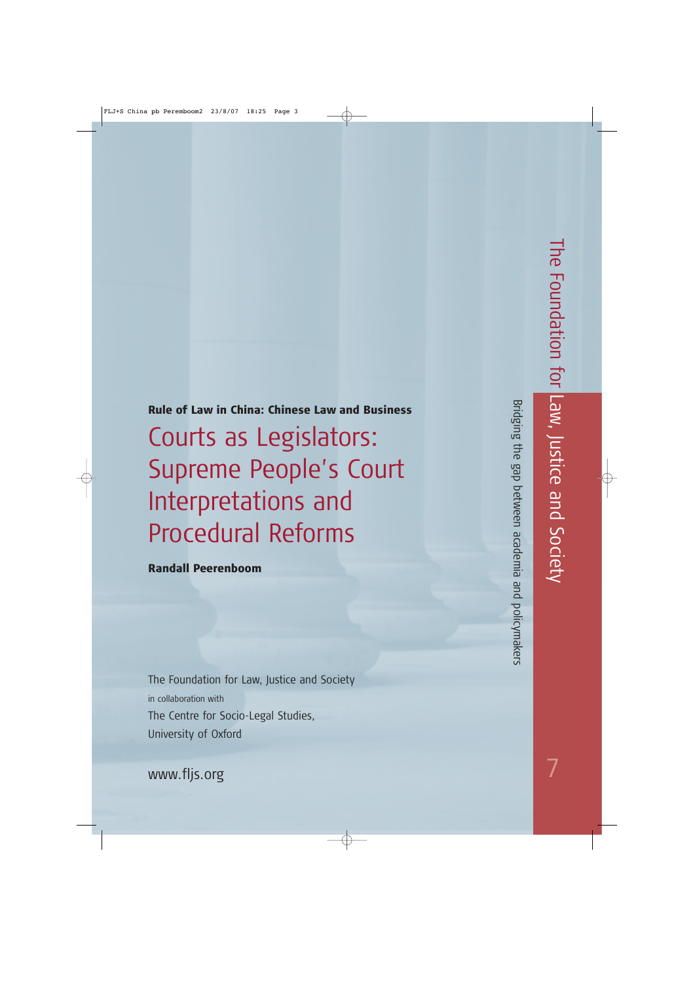7

# Rule of Law in China: Chinese Law and Business Courts as Legislators: Supreme People's Court Interpretations and Procedural Reforms

Randall Peerenboom

The Foundation for Law, Justice and Society in collaboration with The Centre for Socio-Legal Studies, University of Oxford

Bridging the gap between academia and policymakers Bridging the gap between academia and policymakers

www.fljs.org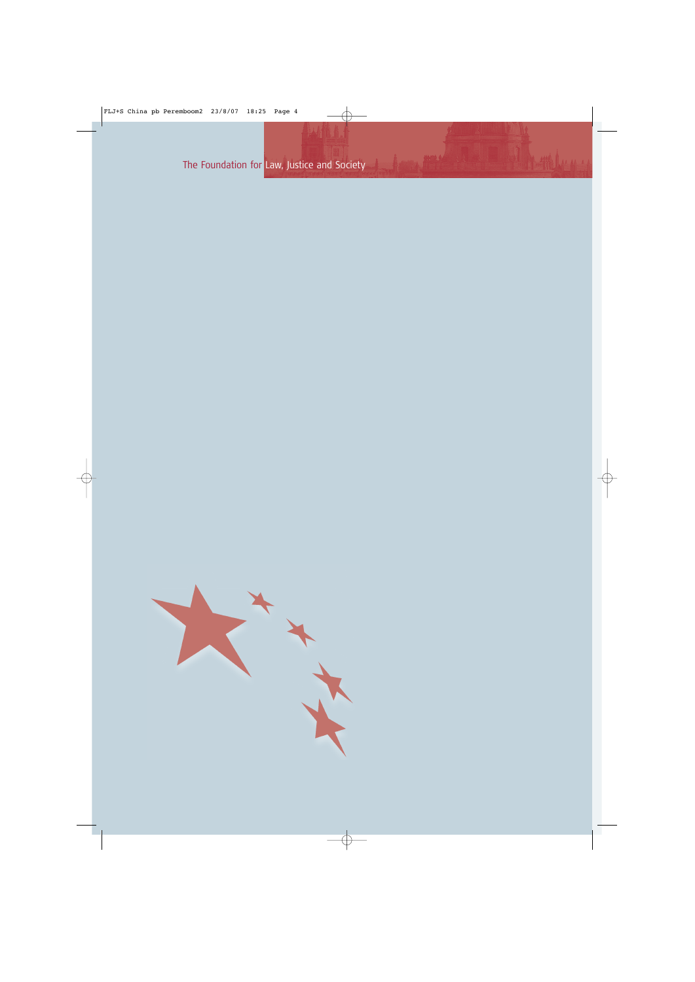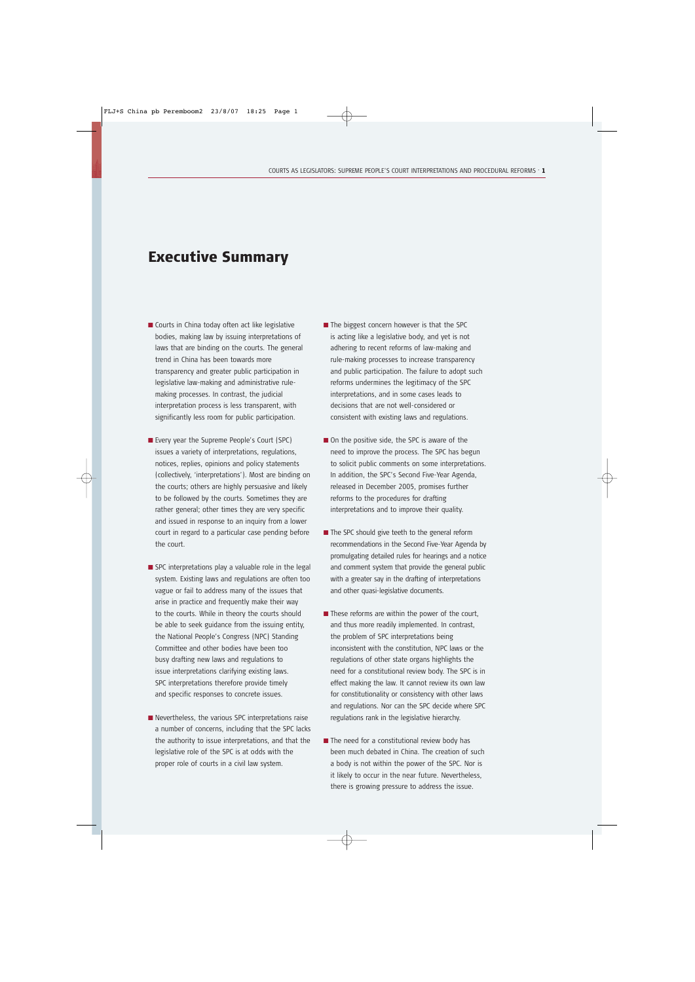## Executive Summary

- Courts in China today often act like legislative bodies, making law by issuing interpretations of laws that are binding on the courts. The general trend in China has been towards more transparency and greater public participation in legislative law-making and administrative rulemaking processes. In contrast, the judicial interpretation process is less transparent, with significantly less room for public participation.
- Every year the Supreme People's Court (SPC) issues a variety of interpretations, regulations, notices, replies, opinions and policy statements (collectively, 'interpretations'). Most are binding on the courts; others are highly persuasive and likely to be followed by the courts. Sometimes they are rather general; other times they are very specific and issued in response to an inquiry from a lower court in regard to a particular case pending before the court.
- SPC interpretations play a valuable role in the legal system. Existing laws and regulations are often too vague or fail to address many of the issues that arise in practice and frequently make their way to the courts. While in theory the courts should be able to seek guidance from the issuing entity, the National People's Congress (NPC) Standing Committee and other bodies have been too busy drafting new laws and regulations to issue interpretations clarifying existing laws. SPC interpretations therefore provide timely and specific responses to concrete issues.
- Nevertheless, the various SPC interpretations raise a number of concerns, including that the SPC lacks the authority to issue interpretations, and that the legislative role of the SPC is at odds with the proper role of courts in a civil law system.
- The biggest concern however is that the SPC is acting like a legislative body, and yet is not adhering to recent reforms of law-making and rule-making processes to increase transparency and public participation. The failure to adopt such reforms undermines the legitimacy of the SPC interpretations, and in some cases leads to decisions that are not well-considered or consistent with existing laws and regulations.
- On the positive side, the SPC is aware of the need to improve the process. The SPC has begun to solicit public comments on some interpretations. In addition, the SPC's Second Five-Year Agenda, released in December 2005, promises further reforms to the procedures for drafting interpretations and to improve their quality.
- The SPC should give teeth to the general reform recommendations in the Second Five-Year Agenda by promulgating detailed rules for hearings and a notice and comment system that provide the general public with a greater say in the drafting of interpretations and other quasi-legislative documents.
- These reforms are within the power of the court, and thus more readily implemented. In contrast, the problem of SPC interpretations being inconsistent with the constitution, NPC laws or the regulations of other state organs highlights the need for a constitutional review body. The SPC is in effect making the law. It cannot review its own law for constitutionality or consistency with other laws and regulations. Nor can the SPC decide where SPC regulations rank in the legislative hierarchy.
- The need for a constitutional review body has been much debated in China. The creation of such a body is not within the power of the SPC. Nor is it likely to occur in the near future. Nevertheless, there is growing pressure to address the issue.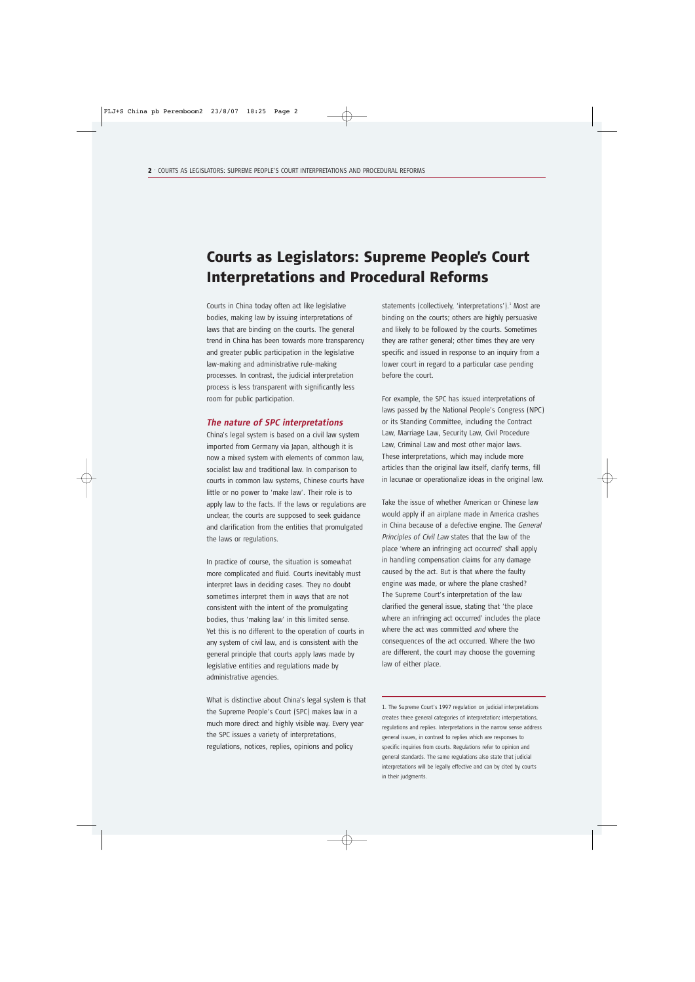# Courts as Legislators: Supreme People's Court Interpretations and Procedural Reforms

Courts in China today often act like legislative bodies, making law by issuing interpretations of laws that are binding on the courts. The general trend in China has been towards more transparency and greater public participation in the legislative law-making and administrative rule-making processes. In contrast, the judicial interpretation process is less transparent with significantly less room for public participation.

#### *The nature of SPC interpretations*

China's legal system is based on a civil law system imported from Germany via Japan, although it is now a mixed system with elements of common law, socialist law and traditional law. In comparison to courts in common law systems, Chinese courts have little or no power to 'make law'. Their role is to apply law to the facts. If the laws or regulations are unclear, the courts are supposed to seek guidance and clarification from the entities that promulgated the laws or regulations.

In practice of course, the situation is somewhat more complicated and fluid. Courts inevitably must interpret laws in deciding cases. They no doubt sometimes interpret them in ways that are not consistent with the intent of the promulgating bodies, thus 'making law' in this limited sense. Yet this is no different to the operation of courts in any system of civil law, and is consistent with the general principle that courts apply laws made by legislative entities and regulations made by administrative agencies.

What is distinctive about China's legal system is that the Supreme People's Court (SPC) makes law in a much more direct and highly visible way. Every year the SPC issues a variety of interpretations, regulations, notices, replies, opinions and policy

statements (collectively, 'interpretations').<sup>1</sup> Most are binding on the courts; others are highly persuasive and likely to be followed by the courts. Sometimes they are rather general; other times they are very specific and issued in response to an inquiry from a lower court in regard to a particular case pending before the court.

For example, the SPC has issued interpretations of laws passed by the National People's Congress (NPC) or its Standing Committee, including the Contract Law, Marriage Law, Security Law, Civil Procedure Law, Criminal Law and most other major laws. These interpretations, which may include more articles than the original law itself, clarify terms, fill in lacunae or operationalize ideas in the original law.

Take the issue of whether American or Chinese law would apply if an airplane made in America crashes in China because of a defective engine. The *General Principles of Civil Law* states that the law of the place 'where an infringing act occurred' shall apply in handling compensation claims for any damage caused by the act. But is that where the faulty engine was made, or where the plane crashed? The Supreme Court's interpretation of the law clarified the general issue, stating that 'the place where an infringing act occurred' includes the place where the act was committed *and* where the consequences of the act occurred. Where the two are different, the court may choose the governing law of either place.

1. The Supreme Court's 1997 regulation on judicial interpretations creates three general categories of interpretation: interpretations, regulations and replies. Interpretations in the narrow sense address general issues, in contrast to replies which are responses to specific inquiries from courts. Regulations refer to opinion and general standards. The same regulations also state that judicial interpretations will be legally effective and can by cited by courts in their judgments.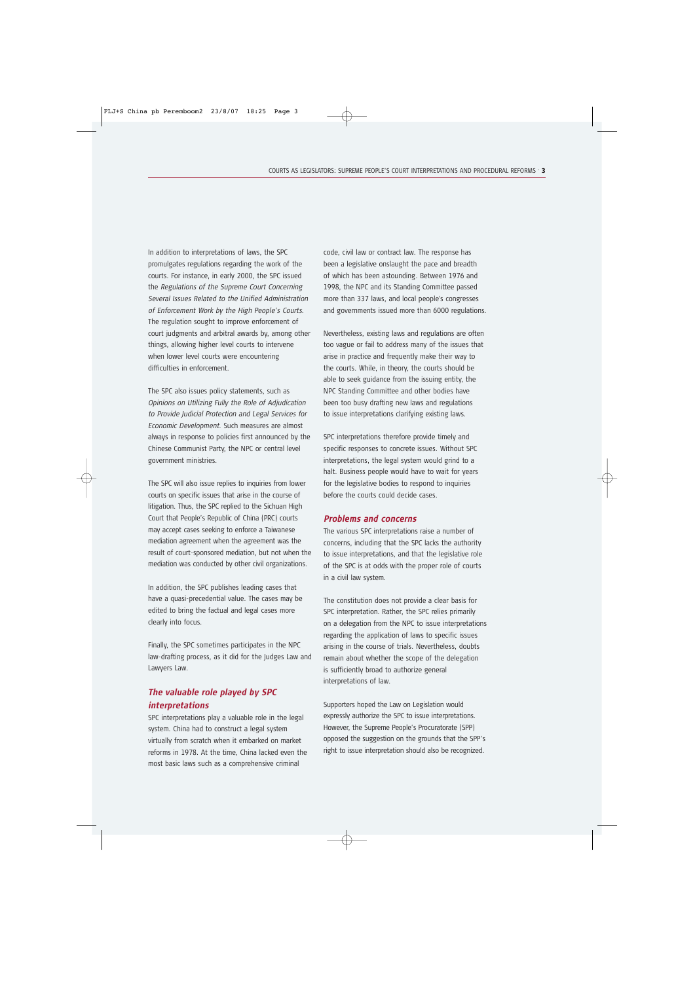In addition to interpretations of laws, the SPC promulgates regulations regarding the work of the courts. For instance, in early 2000, the SPC issued the *Regulations of the Supreme Court Concerning Several Issues Related to the Unified Administration of Enforcement Work by the High People's Courts*. The regulation sought to improve enforcement of court judgments and arbitral awards by, among other things, allowing higher level courts to intervene when lower level courts were encountering difficulties in enforcement.

The SPC also issues policy statements, such as *Opinions on Utilizing Fully the Role of Adjudication to Provide Judicial Protection and Legal Services for Economic Development*. Such measures are almost always in response to policies first announced by the Chinese Communist Party, the NPC or central level government ministries.

The SPC will also issue replies to inquiries from lower courts on specific issues that arise in the course of litigation. Thus, the SPC replied to the Sichuan High Court that People's Republic of China (PRC) courts may accept cases seeking to enforce a Taiwanese mediation agreement when the agreement was the result of court-sponsored mediation, but not when the mediation was conducted by other civil organizations.

In addition, the SPC publishes leading cases that have a quasi-precedential value. The cases may be edited to bring the factual and legal cases more clearly into focus.

Finally, the SPC sometimes participates in the NPC law-drafting process, as it did for the Judges Law and Lawyers Law.

### *The valuable role played by SPC interpretations*

SPC interpretations play a valuable role in the legal system. China had to construct a legal system virtually from scratch when it embarked on market reforms in 1978. At the time, China lacked even the most basic laws such as a comprehensive criminal

code, civil law or contract law. The response has been a legislative onslaught the pace and breadth of which has been astounding. Between 1976 and 1998, the NPC and its Standing Committee passed more than 337 laws, and local people's congresses and governments issued more than 6000 regulations.

Nevertheless, existing laws and regulations are often too vague or fail to address many of the issues that arise in practice and frequently make their way to the courts. While, in theory, the courts should be able to seek guidance from the issuing entity, the NPC Standing Committee and other bodies have been too busy drafting new laws and regulations to issue interpretations clarifying existing laws.

SPC interpretations therefore provide timely and specific responses to concrete issues. Without SPC interpretations, the legal system would grind to a halt. Business people would have to wait for years for the legislative bodies to respond to inquiries before the courts could decide cases.

#### *Problems and concerns*

The various SPC interpretations raise a number of concerns, including that the SPC lacks the authority to issue interpretations, and that the legislative role of the SPC is at odds with the proper role of courts in a civil law system.

The constitution does not provide a clear basis for SPC interpretation. Rather, the SPC relies primarily on a delegation from the NPC to issue interpretations regarding the application of laws to specific issues arising in the course of trials. Nevertheless, doubts remain about whether the scope of the delegation is sufficiently broad to authorize general interpretations of law.

Supporters hoped the Law on Legislation would expressly authorize the SPC to issue interpretations. However, the Supreme People's Procuratorate (SPP) opposed the suggestion on the grounds that the SPP's right to issue interpretation should also be recognized.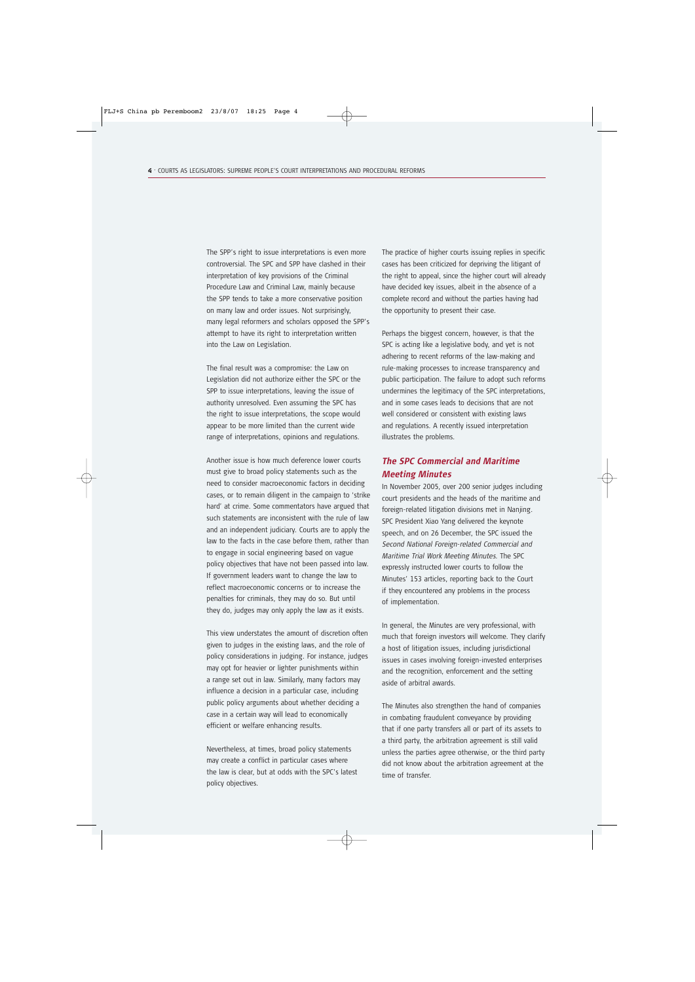The SPP's right to issue interpretations is even more controversial. The SPC and SPP have clashed in their interpretation of key provisions of the Criminal Procedure Law and Criminal Law, mainly because the SPP tends to take a more conservative position on many law and order issues. Not surprisingly, many legal reformers and scholars opposed the SPP's attempt to have its right to interpretation written into the Law on Legislation.

The final result was a compromise: the Law on Legislation did not authorize either the SPC or the SPP to issue interpretations, leaving the issue of authority unresolved. Even assuming the SPC has the right to issue interpretations, the scope would appear to be more limited than the current wide range of interpretations, opinions and regulations.

Another issue is how much deference lower courts must give to broad policy statements such as the need to consider macroeconomic factors in deciding cases, or to remain diligent in the campaign to 'strike hard' at crime. Some commentators have argued that such statements are inconsistent with the rule of law and an independent judiciary. Courts are to apply the law to the facts in the case before them, rather than to engage in social engineering based on vague policy objectives that have not been passed into law. If government leaders want to change the law to reflect macroeconomic concerns or to increase the penalties for criminals, they may do so. But until they do, judges may only apply the law as it exists.

This view understates the amount of discretion often given to judges in the existing laws, and the role of policy considerations in judging. For instance, judges may opt for heavier or lighter punishments within a range set out in law. Similarly, many factors may influence a decision in a particular case, including public policy arguments about whether deciding a case in a certain way will lead to economically efficient or welfare enhancing results.

Nevertheless, at times, broad policy statements may create a conflict in particular cases where the law is clear, but at odds with the SPC's latest policy objectives.

The practice of higher courts issuing replies in specific cases has been criticized for depriving the litigant of the right to appeal, since the higher court will already have decided key issues, albeit in the absence of a complete record and without the parties having had the opportunity to present their case.

Perhaps the biggest concern, however, is that the SPC is acting like a legislative body, and yet is not adhering to recent reforms of the law-making and rule-making processes to increase transparency and public participation. The failure to adopt such reforms undermines the legitimacy of the SPC interpretations, and in some cases leads to decisions that are not well considered or consistent with existing laws and regulations. A recently issued interpretation illustrates the problems.

### *The SPC Commercial and Maritime Meeting Minutes*

In November 2005, over 200 senior judges including court presidents and the heads of the maritime and foreign-related litigation divisions met in Nanjing. SPC President Xiao Yang delivered the keynote speech, and on 26 December, the SPC issued the *Second National Foreign-related Commercial and Maritime Trial Work Meeting Minutes*. The SPC expressly instructed lower courts to follow the Minutes' 153 articles, reporting back to the Court if they encountered any problems in the process of implementation.

In general, the Minutes are very professional, with much that foreign investors will welcome. They clarify a host of litigation issues, including jurisdictional issues in cases involving foreign-invested enterprises and the recognition, enforcement and the setting aside of arbitral awards.

The Minutes also strengthen the hand of companies in combating fraudulent conveyance by providing that if one party transfers all or part of its assets to a third party, the arbitration agreement is still valid unless the parties agree otherwise, or the third party did not know about the arbitration agreement at the time of transfer.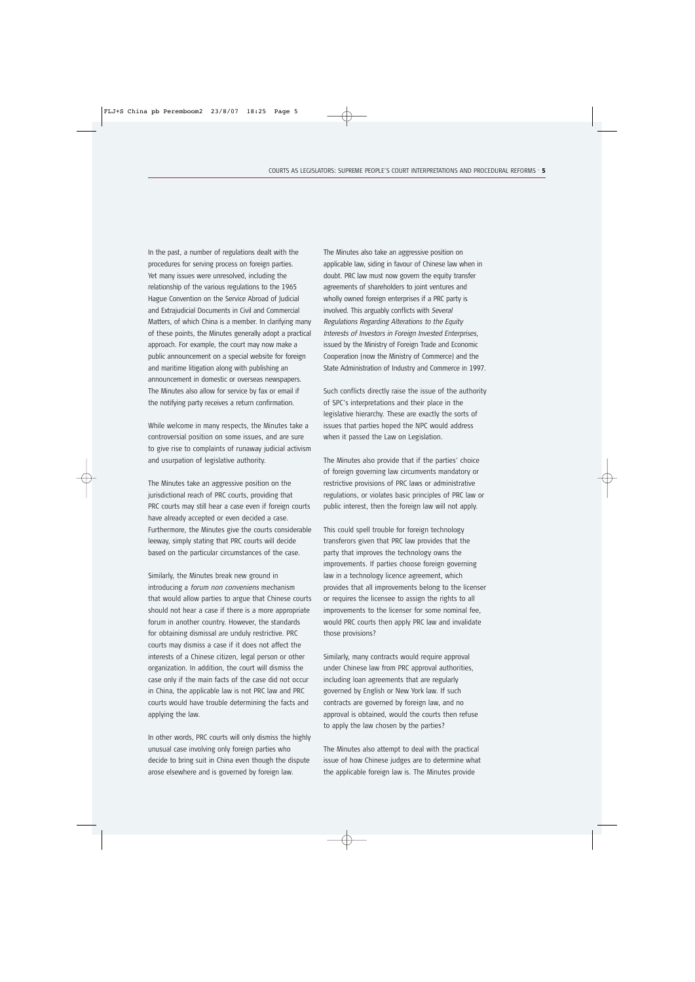In the past, a number of regulations dealt with the procedures for serving process on foreign parties. Yet many issues were unresolved, including the relationship of the various regulations to the 1965 Hague Convention on the Service Abroad of Judicial and Extrajudicial Documents in Civil and Commercial Matters, of which China is a member. In clarifying many of these points, the Minutes generally adopt a practical approach. For example, the court may now make a public announcement on a special website for foreign and maritime litigation along with publishing an announcement in domestic or overseas newspapers. The Minutes also allow for service by fax or email if the notifying party receives a return confirmation.

While welcome in many respects, the Minutes take a controversial position on some issues, and are sure to give rise to complaints of runaway judicial activism and usurpation of legislative authority.

The Minutes take an aggressive position on the jurisdictional reach of PRC courts, providing that PRC courts may still hear a case even if foreign courts have already accepted or even decided a case. Furthermore, the Minutes give the courts considerable leeway, simply stating that PRC courts will decide based on the particular circumstances of the case.

Similarly, the Minutes break new ground in introducing a *forum non conveniens* mechanism that would allow parties to argue that Chinese courts should not hear a case if there is a more appropriate forum in another country. However, the standards for obtaining dismissal are unduly restrictive. PRC courts may dismiss a case if it does not affect the interests of a Chinese citizen, legal person or other organization. In addition, the court will dismiss the case only if the main facts of the case did not occur in China, the applicable law is not PRC law and PRC courts would have trouble determining the facts and applying the law.

In other words, PRC courts will only dismiss the highly unusual case involving only foreign parties who decide to bring suit in China even though the dispute arose elsewhere and is governed by foreign law.

The Minutes also take an aggressive position on applicable law, siding in favour of Chinese law when in doubt. PRC law must now govern the equity transfer agreements of shareholders to joint ventures and wholly owned foreign enterprises if a PRC party is involved. This arguably conflicts with *Several Regulations Regarding Alterations to the Equity Interests of Investors in Foreign Invested Enterprises,* issued by the Ministry of Foreign Trade and Economic Cooperation (now the Ministry of Commerce) and the State Administration of Industry and Commerce in 1997.

Such conflicts directly raise the issue of the authority of SPC's interpretations and their place in the legislative hierarchy. These are exactly the sorts of issues that parties hoped the NPC would address when it passed the Law on Legislation.

The Minutes also provide that if the parties' choice of foreign governing law circumvents mandatory or restrictive provisions of PRC laws or administrative regulations, or violates basic principles of PRC law or public interest, then the foreign law will not apply.

This could spell trouble for foreign technology transferors given that PRC law provides that the party that improves the technology owns the improvements. If parties choose foreign governing law in a technology licence agreement, which provides that all improvements belong to the licenser or requires the licensee to assign the rights to all improvements to the licenser for some nominal fee, would PRC courts then apply PRC law and invalidate those provisions?

Similarly, many contracts would require approval under Chinese law from PRC approval authorities, including loan agreements that are regularly governed by English or New York law. If such contracts are governed by foreign law, and no approval is obtained, would the courts then refuse to apply the law chosen by the parties?

The Minutes also attempt to deal with the practical issue of how Chinese judges are to determine what the applicable foreign law is. The Minutes provide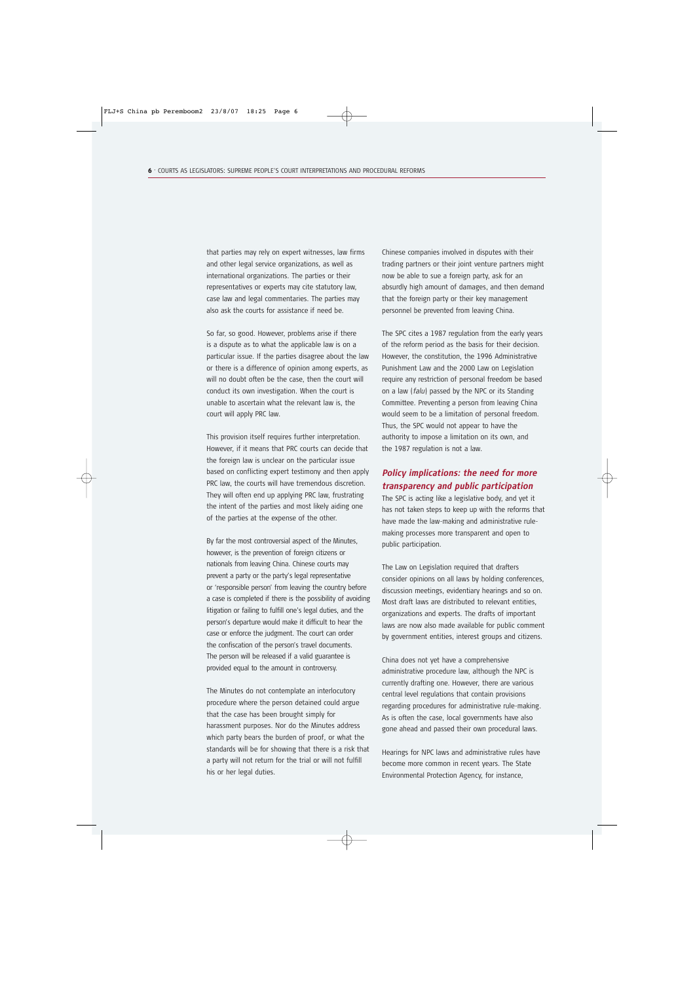that parties may rely on expert witnesses, law firms and other legal service organizations, as well as international organizations. The parties or their representatives or experts may cite statutory law, case law and legal commentaries. The parties may also ask the courts for assistance if need be.

So far, so good. However, problems arise if there is a dispute as to what the applicable law is on a particular issue. If the parties disagree about the law or there is a difference of opinion among experts, as will no doubt often be the case, then the court will conduct its own investigation. When the court is unable to ascertain what the relevant law is, the court will apply PRC law.

This provision itself requires further interpretation. However, if it means that PRC courts can decide that the foreign law is unclear on the particular issue based on conflicting expert testimony and then apply PRC law, the courts will have tremendous discretion. They will often end up applying PRC law, frustrating the intent of the parties and most likely aiding one of the parties at the expense of the other.

By far the most controversial aspect of the Minutes, however, is the prevention of foreign citizens or nationals from leaving China. Chinese courts may prevent a party or the party's legal representative or 'responsible person' from leaving the country before a case is completed if there is the possibility of avoiding litigation or failing to fulfill one's legal duties, and the person's departure would make it difficult to hear the case or enforce the judgment. The court can order the confiscation of the person's travel documents. The person will be released if a valid guarantee is provided equal to the amount in controversy.

The Minutes do not contemplate an interlocutory procedure where the person detained could argue that the case has been brought simply for harassment purposes. Nor do the Minutes address which party bears the burden of proof, or what the standards will be for showing that there is a risk that a party will not return for the trial or will not fulfill his or her legal duties.

Chinese companies involved in disputes with their trading partners or their joint venture partners might now be able to sue a foreign party, ask for an absurdly high amount of damages, and then demand that the foreign party or their key management personnel be prevented from leaving China.

The SPC cites a 1987 regulation from the early years of the reform period as the basis for their decision. However, the constitution, the 1996 Administrative Punishment Law and the 2000 Law on Legislation require any restriction of personal freedom be based on a law (*falu*) passed by the NPC or its Standing Committee. Preventing a person from leaving China would seem to be a limitation of personal freedom. Thus, the SPC would not appear to have the authority to impose a limitation on its own, and the 1987 regulation is not a law.

### *Policy implications: the need for more transparency and public participation*

The SPC is acting like a legislative body, and yet it has not taken steps to keep up with the reforms that have made the law-making and administrative rulemaking processes more transparent and open to public participation.

The Law on Legislation required that drafters consider opinions on all laws by holding conferences, discussion meetings, evidentiary hearings and so on. Most draft laws are distributed to relevant entities, organizations and experts. The drafts of important laws are now also made available for public comment by government entities, interest groups and citizens.

China does not yet have a comprehensive administrative procedure law, although the NPC is currently drafting one. However, there are various central level regulations that contain provisions regarding procedures for administrative rule-making. As is often the case, local governments have also gone ahead and passed their own procedural laws.

Hearings for NPC laws and administrative rules have become more common in recent years. The State Environmental Protection Agency, for instance,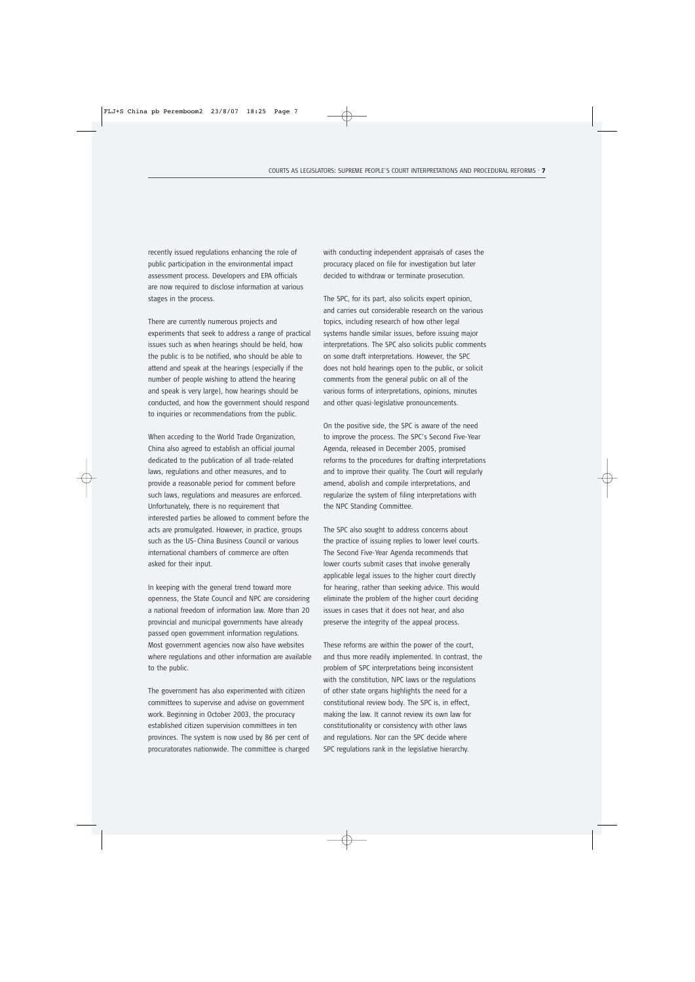recently issued regulations enhancing the role of public participation in the environmental impact assessment process. Developers and EPA officials are now required to disclose information at various stages in the process.

There are currently numerous projects and experiments that seek to address a range of practical issues such as when hearings should be held, how the public is to be notified, who should be able to attend and speak at the hearings (especially if the number of people wishing to attend the hearing and speak is very large), how hearings should be conducted, and how the government should respond to inquiries or recommendations from the public.

When acceding to the World Trade Organization, China also agreed to establish an official journal dedicated to the publication of all trade-related laws, regulations and other measures, and to provide a reasonable period for comment before such laws, regulations and measures are enforced. Unfortunately, there is no requirement that interested parties be allowed to comment before the acts are promulgated. However, in practice, groups such as the US–China Business Council or various international chambers of commerce are often asked for their input.

In keeping with the general trend toward more openness, the State Council and NPC are considering a national freedom of information law. More than 20 provincial and municipal governments have already passed open government information regulations. Most government agencies now also have websites where regulations and other information are available to the public.

The government has also experimented with citizen committees to supervise and advise on government work. Beginning in October 2003, the procuracy established citizen supervision committees in ten provinces. The system is now used by 86 per cent of procuratorates nationwide. The committee is charged with conducting independent appraisals of cases the procuracy placed on file for investigation but later decided to withdraw or terminate prosecution.

The SPC, for its part, also solicits expert opinion, and carries out considerable research on the various topics, including research of how other legal systems handle similar issues, before issuing major interpretations. The SPC also solicits public comments on some draft interpretations. However, the SPC does not hold hearings open to the public, or solicit comments from the general public on all of the various forms of interpretations, opinions, minutes and other quasi-legislative pronouncements.

On the positive side, the SPC is aware of the need to improve the process. The SPC's Second Five-Year Agenda, released in December 2005, promised reforms to the procedures for drafting interpretations and to improve their quality. The Court will regularly amend, abolish and compile interpretations, and regularize the system of filing interpretations with the NPC Standing Committee.

The SPC also sought to address concerns about the practice of issuing replies to lower level courts. The Second Five-Year Agenda recommends that lower courts submit cases that involve generally applicable legal issues to the higher court directly for hearing, rather than seeking advice. This would eliminate the problem of the higher court deciding issues in cases that it does not hear, and also preserve the integrity of the appeal process.

These reforms are within the power of the court, and thus more readily implemented. In contrast, the problem of SPC interpretations being inconsistent with the constitution, NPC laws or the regulations of other state organs highlights the need for a constitutional review body. The SPC is, in effect, making the law. It cannot review its own law for constitutionality or consistency with other laws and regulations. Nor can the SPC decide where SPC regulations rank in the legislative hierarchy.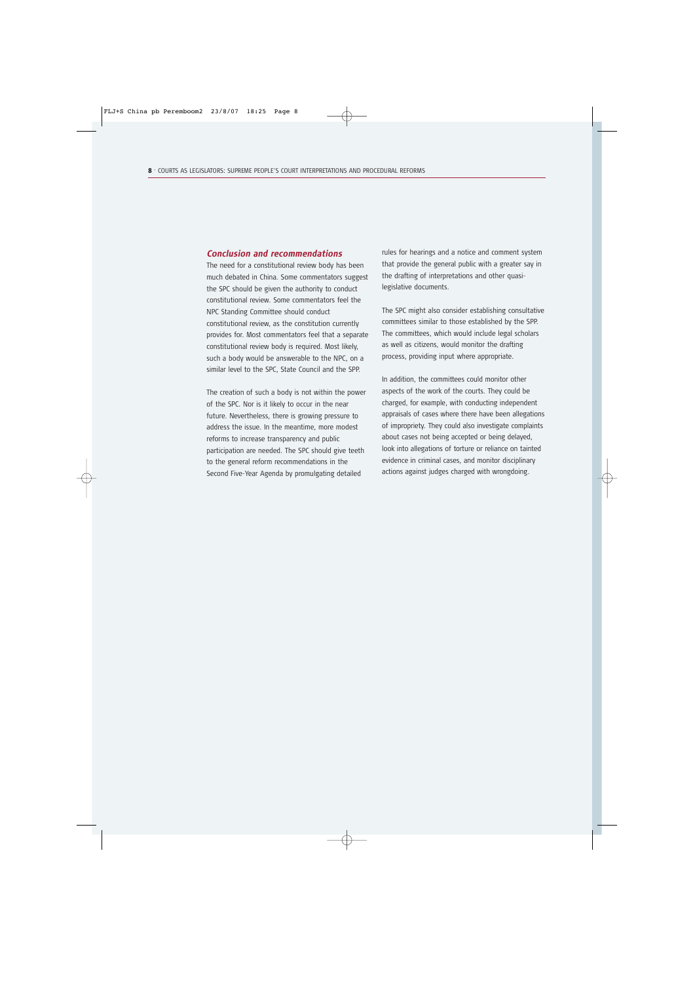#### *Conclusion and recommendations*

The need for a constitutional review body has been much debated in China. Some commentators suggest the SPC should be given the authority to conduct constitutional review. Some commentators feel the NPC Standing Committee should conduct constitutional review, as the constitution currently provides for. Most commentators feel that a separate constitutional review body is required. Most likely, such a body would be answerable to the NPC, on a similar level to the SPC, State Council and the SPP.

The creation of such a body is not within the power of the SPC. Nor is it likely to occur in the near future. Nevertheless, there is growing pressure to address the issue. In the meantime, more modest reforms to increase transparency and public participation are needed. The SPC should give teeth to the general reform recommendations in the Second Five-Year Agenda by promulgating detailed

rules for hearings and a notice and comment system that provide the general public with a greater say in the drafting of interpretations and other quasilegislative documents.

The SPC might also consider establishing consultative committees similar to those established by the SPP. The committees, which would include legal scholars as well as citizens, would monitor the drafting process, providing input where appropriate.

In addition, the committees could monitor other aspects of the work of the courts. They could be charged, for example, with conducting independent appraisals of cases where there have been allegations of impropriety. They could also investigate complaints about cases not being accepted or being delayed, look into allegations of torture or reliance on tainted evidence in criminal cases, and monitor disciplinary actions against judges charged with wrongdoing.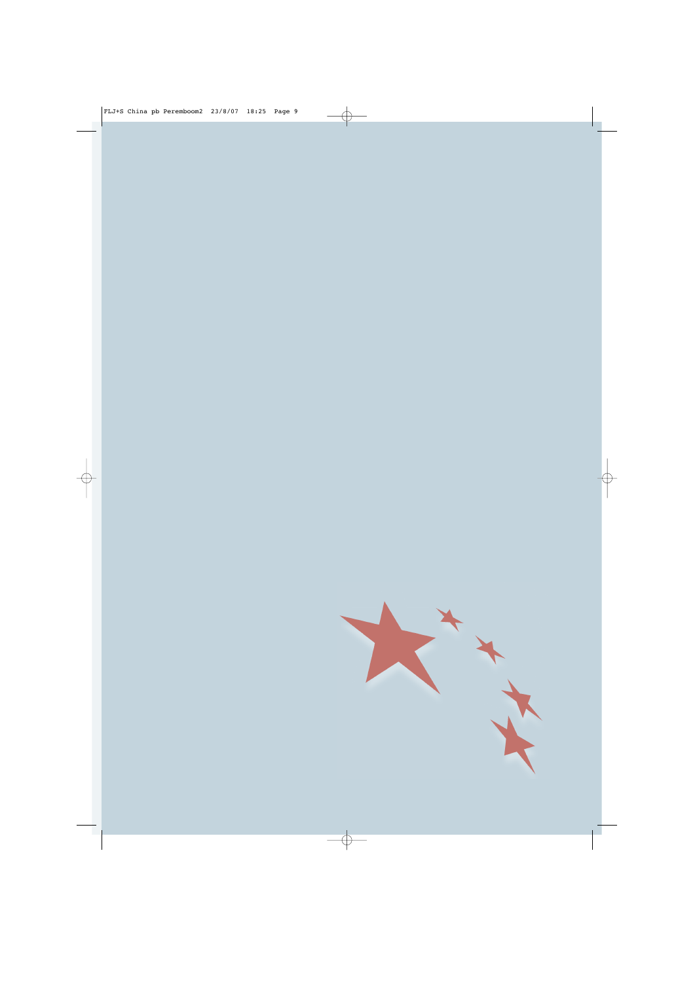